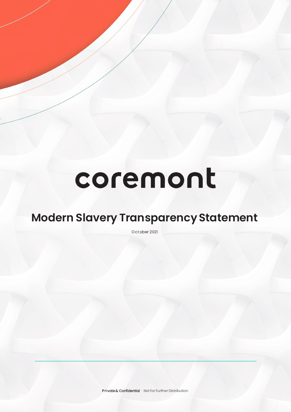# coremont

## **Modern Slavery Transparency Statement**

Oct ober 2021

Private & Confidential · Not for Further Distribution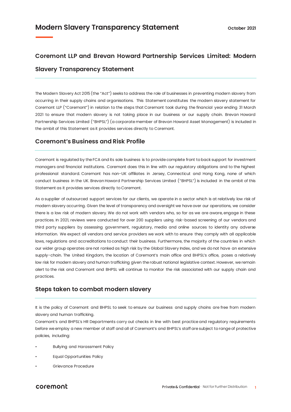### **Coremont LLP and Brevan Howard Partnership Services Limited: Modern Slavery Transparency Statement**

The Modern Slavery Act 2015 (the "Act") seeks to address the role of businesses in preventing modern slavery from occurring in their supply chains and organisations. This Statement constitutes the modern slavery statement for Coremont LLP ("Coremont") in relation to the steps that Coremont took during the financial year ending 31 March 2021 to ensure that modern slavery is not taking place in our business or our supply chain. Brevan Howard Partnership Services Limited ("BHPSL") (a corporate member of Brevan Howard Asset Management) is included in the ambit of this Statement as it provides services directly to Coremont.

#### **Coremont's Business and Risk Profile**

Coremont is regulated by the FCA and its sole business is to provide complete front to back support for investment managers and financial institutions. Coremont does this in line with our regulatory obligations and to the highest professional standard. Coremont has non-UK affiliates in Jersey, Connecticut and Hong Kong, none of which conduct business in the UK. Brevan Howard Partnership Services Limited ("BHPSL") is included in the ambit of this Statement as it provides services directly to Coremont.

As a supplier of outsourced support services for our clients, we operate in a sector which is at relatively low risk of modern slavery occurring. Given the level of transparency and oversight we have over our operations, we consider there is a low risk of modern slavery. We do not work with vendors who, so far as we are aware, engage in these practices. In 2021, reviews were conducted for over 200 suppliers using risk-based screening of our vendors and third party suppliers by assessing government, regulatory, media and online sources to identity any adverse information. We expect all vendors and service providers we work with to ensure they comply with all applicable laws, regulations and accreditations to conduct their business. Furthermore, the majority of the countries in which our wider group operates are not ranked as high risk by the Global Slavery Index, and we do not have an extensive supply-chain. The United Kingdom, the location of Coremont's main office and BHPSL's office, poses a relatively low risk for modern slavery and human trafficking given the robust national legislative context. However, we remain alert to the risk and Coremont and BHPSL will continue to monitor the risk associated with our supply chain and practices.

#### **Steps taken to combat modern slavery**

It is the policy of Coremont and BHPSL to seek to ensure our business and supply chains are free from modern slavery and human trafficking.

Coremont's and BHPSL's HR Departments carry out checks in line with best practice and regulatory requirements before we employ a new member of staff and all of Coremont's and BHPSL's staff are subject to range of protective policies, including:

- Bullying and Harassment Policy
- Equal Opportunities Policy
- Grievance Procedure

#### coremont